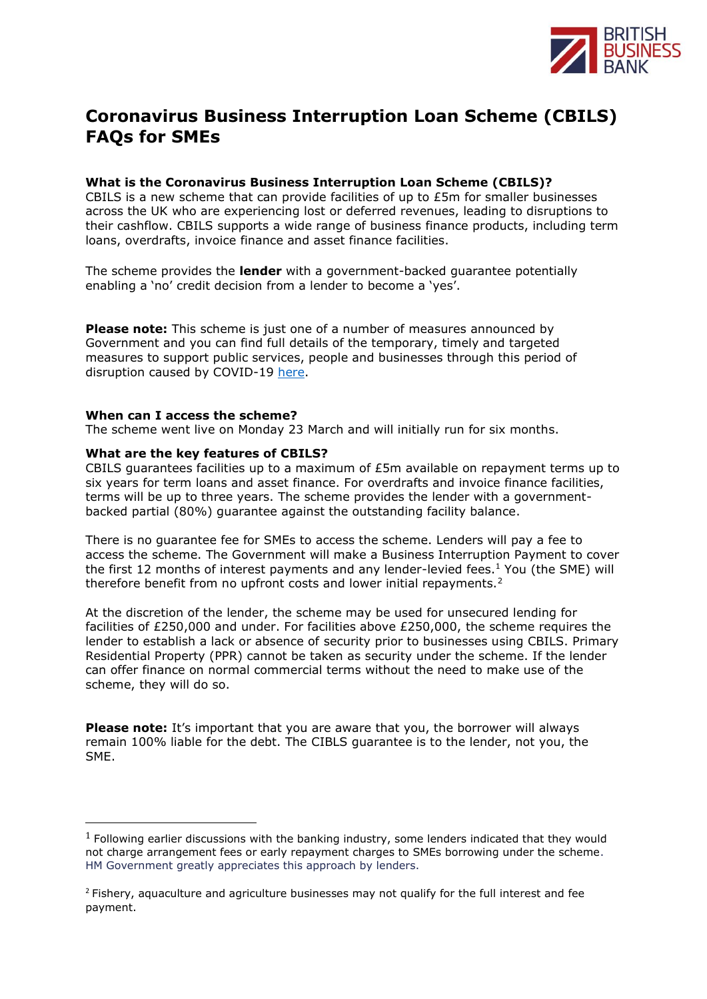

# **Coronavirus Business Interruption Loan Scheme (CBILS) FAQs for SMEs**

# **What is the Coronavirus Business Interruption Loan Scheme (CBILS)?**

CBILS is a new scheme that can provide facilities of up to  $E5m$  for smaller businesses across the UK who are experiencing lost or deferred revenues, leading to disruptions to their cashflow. CBILS supports a wide range of business finance products, including term loans, overdrafts, invoice finance and asset finance facilities.

The scheme provides the **lender** with a government-backed guarantee potentially enabling a 'no' credit decision from a lender to become a 'yes'.

**Please note:** This scheme is just one of a number of measures announced by Government and you can find full details of the temporary, timely and targeted measures to support public services, people and businesses through this period of disruption caused by COVID-19 [here.](https://www.gov.uk/government/publications/guidance-to-employers-and-businesses-about-covid-19/covid-19-support-for-businesses)

## **When can I access the scheme?**

The scheme went live on Monday 23 March and will initially run for six months.

## **What are the key features of CBILS?**

CBILS quarantees facilities up to a maximum of  $E5m$  available on repayment terms up to six years for term loans and asset finance. For overdrafts and invoice finance facilities, terms will be up to three years. The scheme provides the lender with a governmentbacked partial (80%) guarantee against the outstanding facility balance.

There is no guarantee fee for SMEs to access the scheme. Lenders will pay a fee to access the scheme. The Government will make a Business Interruption Payment to cover the first 12 months of interest payments and any lender-levied fees.<sup>1</sup> You (the SME) will therefore benefit from no upfront costs and lower initial repayments.<sup>2</sup>

At the discretion of the lender, the scheme may be used for unsecured lending for facilities of £250,000 and under. For facilities above £250,000, the scheme requires the lender to establish a lack or absence of security prior to businesses using CBILS. Primary Residential Property (PPR) cannot be taken as security under the scheme. If the lender can offer finance on normal commercial terms without the need to make use of the scheme, they will do so.

**Please note:** It's important that you are aware that you, the borrower will always remain 100% liable for the debt. The CIBLS guarantee is to the lender, not you, the SME.

 $1$  Following earlier discussions with the banking industry, some lenders indicated that they would not charge arrangement fees or early repayment charges to SMEs borrowing under the scheme. HM Government greatly appreciates this approach by lenders.

 $2$  Fishery, aquaculture and agriculture businesses may not qualify for the full interest and fee payment.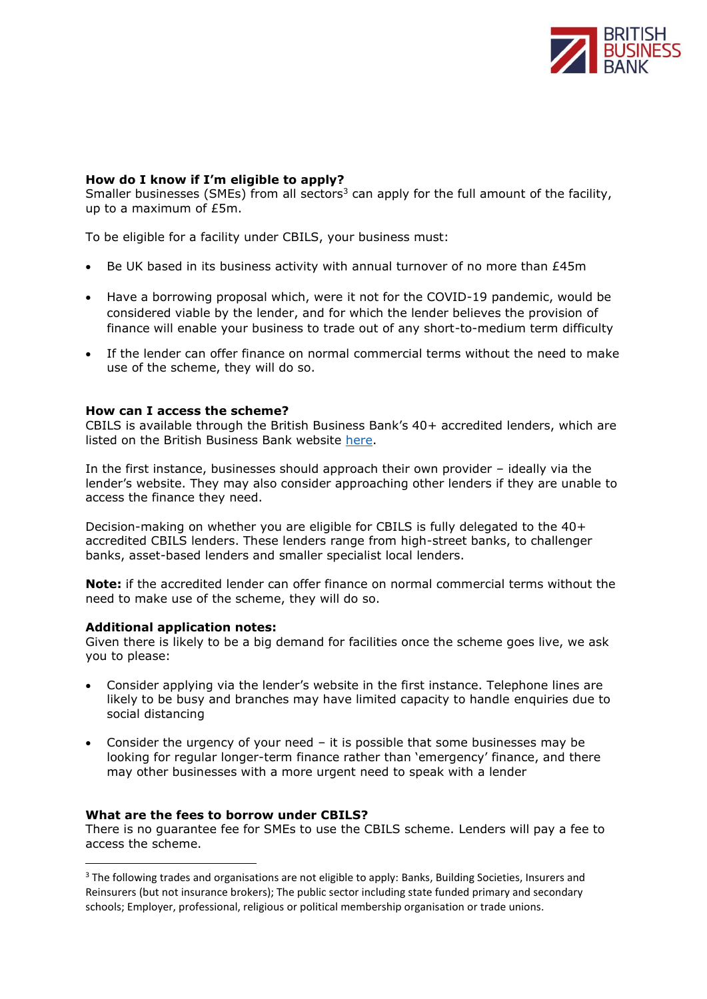

# **How do I know if I'm eligible to apply?**

Smaller businesses (SMEs) from all sectors<sup>3</sup> can apply for the full amount of the facility, up to a maximum of £5m.

To be eligible for a facility under CBILS, your business must:

- Be UK based in its business activity with annual turnover of no more than £45m
- Have a borrowing proposal which, were it not for the COVID-19 pandemic, would be considered viable by the lender, and for which the lender believes the provision of finance will enable your business to trade out of any short-to-medium term difficulty
- If the lender can offer finance on normal commercial terms without the need to make use of the scheme, they will do so.

#### **How can I access the scheme?**

CBILS is available through the British Business Bank's 40+ accredited lenders, which are listed on the British Business Bank website [here.](https://www.british-business-bank.co.uk/ourpartners/coronavirus-business-interruption-loan-scheme-cbils/accredited-lenders/)

In the first instance, businesses should approach their own provider – ideally via the lender's website. They may also consider approaching other lenders if they are unable to access the finance they need.

Decision-making on whether you are eligible for CBILS is fully delegated to the 40+ accredited CBILS lenders. These lenders range from high-street banks, to challenger banks, asset-based lenders and smaller specialist local lenders.

**Note:** if the accredited lender can offer finance on normal commercial terms without the need to make use of the scheme, they will do so.

#### **Additional application notes:**

Given there is likely to be a big demand for facilities once the scheme goes live, we ask you to please:

- Consider applying via the lender's website in the first instance. Telephone lines are likely to be busy and branches may have limited capacity to handle enquiries due to social distancing
- Consider the urgency of your need  $-$  it is possible that some businesses may be looking for regular longer-term finance rather than 'emergency' finance, and there may other businesses with a more urgent need to speak with a lender

#### **What are the fees to borrow under CBILS?**

There is no guarantee fee for SMEs to use the CBILS scheme. Lenders will pay a fee to access the scheme.

<sup>&</sup>lt;sup>3</sup> The following trades and organisations are not eligible to apply: Banks, Building Societies, Insurers and Reinsurers (but not insurance brokers); The public sector including state funded primary and secondary schools; Employer, professional, religious or political membership organisation or trade unions.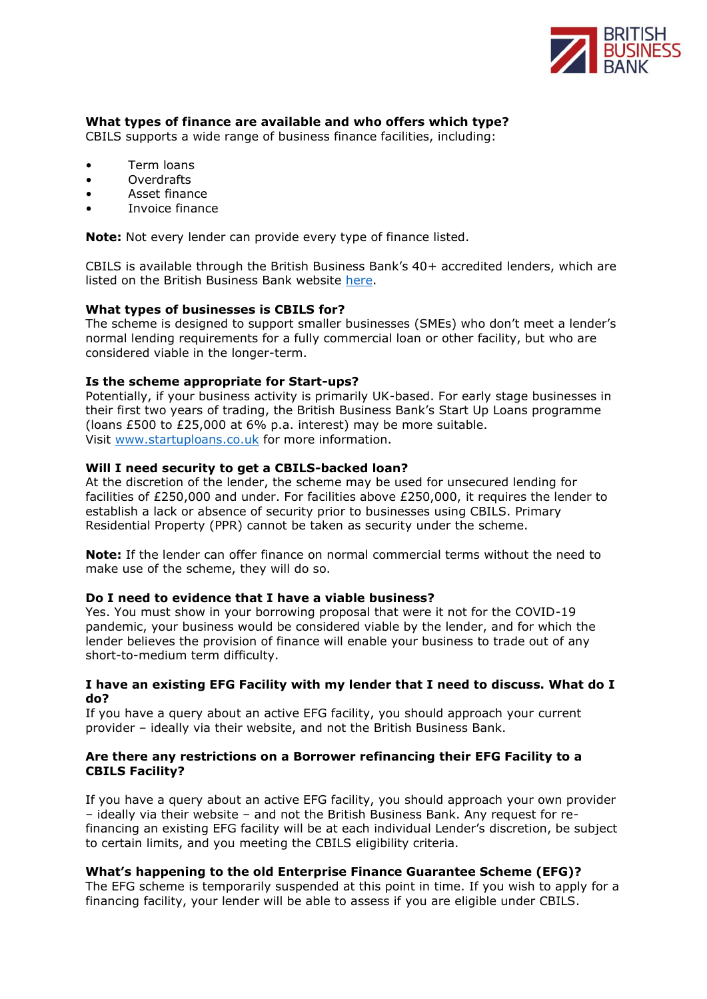

# **What types of finance are available and who offers which type?**

CBILS supports a wide range of business finance facilities, including:

- Term loans
- Overdrafts
- Asset finance
- Invoice finance

**Note:** Not every lender can provide every type of finance listed.

CBILS is available through the British Business Bank's 40+ accredited lenders, which are listed on the British Business Bank website [here.](https://www.british-business-bank.co.uk/ourpartners/coronavirus-business-interruption-loan-scheme-cbils/accredited-lenders/)

## **What types of businesses is CBILS for?**

The scheme is designed to support smaller businesses (SMEs) who don't meet a lender's normal lending requirements for a fully commercial loan or other facility, but who are considered viable in the longer-term.

## **Is the scheme appropriate for Start-ups?**

Potentially, if your business activity is primarily UK-based. For early stage businesses in their first two years of trading, the British Business Bank's Start Up Loans programme (loans £500 to £25,000 at 6% p.a. interest) may be more suitable. Visit [www.startuploans.co.uk](http://www.startuploans.co.uk/) for more information.

## **Will I need security to get a CBILS-backed loan?**

At the discretion of the lender, the scheme may be used for unsecured lending for facilities of £250,000 and under. For facilities above £250,000, it requires the lender to establish a lack or absence of security prior to businesses using CBILS. Primary Residential Property (PPR) cannot be taken as security under the scheme.

**Note:** If the lender can offer finance on normal commercial terms without the need to make use of the scheme, they will do so.

## **Do I need to evidence that I have a viable business?**

Yes. You must show in your borrowing proposal that were it not for the COVID-19 pandemic, your business would be considered viable by the lender, and for which the lender believes the provision of finance will enable your business to trade out of any short-to-medium term difficulty.

## **I have an existing EFG Facility with my lender that I need to discuss. What do I do?**

If you have a query about an active EFG facility, you should approach your current provider – ideally via their website, and not the British Business Bank.

## **Are there any restrictions on a Borrower refinancing their EFG Facility to a CBILS Facility?**

If you have a query about an active EFG facility, you should approach your own provider – ideally via their website – and not the British Business Bank. Any request for refinancing an existing EFG facility will be at each individual Lender's discretion, be subject to certain limits, and you meeting the CBILS eligibility criteria.

## **What's happening to the old Enterprise Finance Guarantee Scheme (EFG)?**

The EFG scheme is temporarily suspended at this point in time. If you wish to apply for a financing facility, your lender will be able to assess if you are eligible under CBILS.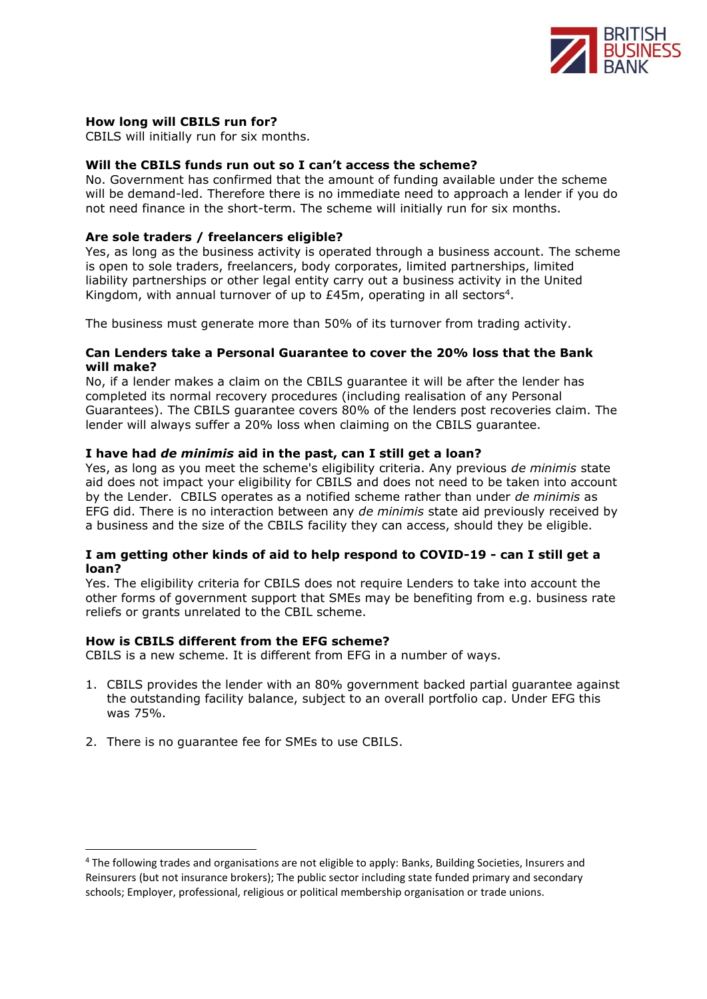

## **How long will CBILS run for?**

CBILS will initially run for six months.

# **Will the CBILS funds run out so I can't access the scheme?**

No. Government has confirmed that the amount of funding available under the scheme will be demand-led. Therefore there is no immediate need to approach a lender if you do not need finance in the short-term. The scheme will initially run for six months.

#### **Are sole traders / freelancers eligible?**

Yes, as long as the business activity is operated through a business account. The scheme is open to sole traders, freelancers, body corporates, limited partnerships, limited liability partnerships or other legal entity carry out a business activity in the United Kingdom, with annual turnover of up to  $E45m$ , operating in all sectors<sup>4</sup>.

The business must generate more than 50% of its turnover from trading activity.

#### **Can Lenders take a Personal Guarantee to cover the 20% loss that the Bank will make?**

No, if a lender makes a claim on the CBILS guarantee it will be after the lender has completed its normal recovery procedures (including realisation of any Personal Guarantees). The CBILS guarantee covers 80% of the lenders post recoveries claim. The lender will always suffer a 20% loss when claiming on the CBILS guarantee.

#### **I have had** *de minimis* **aid in the past, can I still get a loan?**

Yes, as long as you meet the scheme's eligibility criteria. Any previous *de minimis* state aid does not impact your eligibility for CBILS and does not need to be taken into account by the Lender. CBILS operates as a notified scheme rather than under *de minimis* as EFG did. There is no interaction between any *de minimis* state aid previously received by a business and the size of the CBILS facility they can access, should they be eligible.

## **I am getting other kinds of aid to help respond to COVID-19 - can I still get a loan?**

Yes. The eligibility criteria for CBILS does not require Lenders to take into account the other forms of government support that SMEs may be benefiting from e.g. business rate reliefs or grants unrelated to the CBIL scheme.

### **How is CBILS different from the EFG scheme?**

CBILS is a new scheme. It is different from EFG in a number of ways.

- 1. CBILS provides the lender with an 80% government backed partial guarantee against the outstanding facility balance, subject to an overall portfolio cap. Under EFG this was 75%.
- 2. There is no guarantee fee for SMEs to use CBILS.

<sup>4</sup> The following trades and organisations are not eligible to apply: Banks, Building Societies, Insurers and Reinsurers (but not insurance brokers); The public sector including state funded primary and secondary schools; Employer, professional, religious or political membership organisation or trade unions.